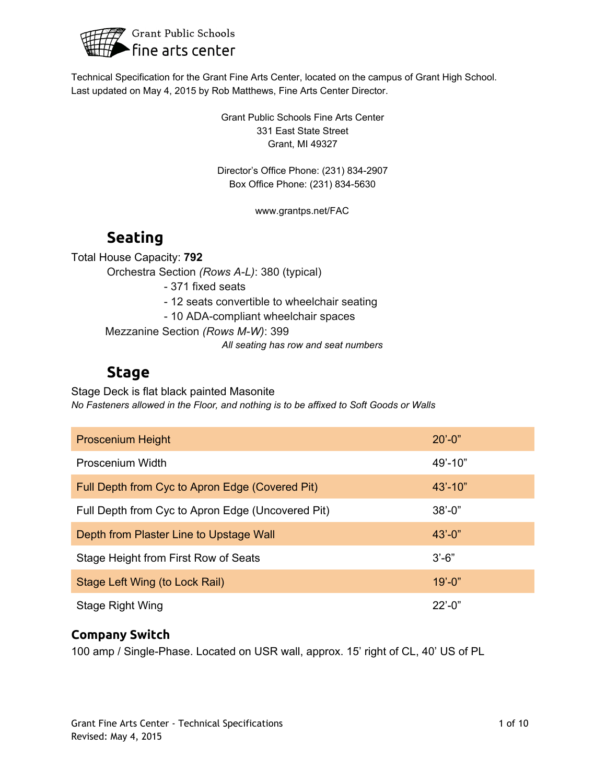

Technical Specification for the Grant Fine Arts Center, located on the campus of Grant High School. Last updated on May 4, 2015 by Rob Matthews, Fine Arts Center Director.

> Grant Public Schools Fine Arts Center 331 East State Street Grant, MI 49327

Director's Office Phone: (231) 834-2907 Box Office Phone: (231) 834-5630

www.grantps.net/FAC

# **Seating**

Total House Capacity: **792**

Orchestra Section *(Rows AL)*: 380 (typical)

371 fixed seats

12 seats convertible to wheelchair seating

- 10 ADA-compliant wheelchair spaces

Mezzanine Section (Rows M-W): 399

*All seating has row and seat numbers*

## **Stage**

Stage Deck is flat black painted Masonite *No Fasteners allowed in the Floor, and nothing is to be affixed to Soft Goods or Walls*

| <b>Proscenium Height</b>                          | $20' - 0''$       |
|---------------------------------------------------|-------------------|
| Proscenium Width                                  | $49' - 10"$       |
| Full Depth from Cyc to Apron Edge (Covered Pit)   | $43' - 10''$      |
| Full Depth from Cyc to Apron Edge (Uncovered Pit) | $38' - 0$ "       |
| Depth from Plaster Line to Upstage Wall           | $43' - 0''$       |
| Stage Height from First Row of Seats              | $3'-6''$          |
| Stage Left Wing (to Lock Rail)                    | $19' - 0''$       |
| Stage Right Wing                                  | $22^{\prime}$ -0" |

### **Company Switch**

100 amp / Single-Phase. Located on USR wall, approx. 15' right of CL, 40' US of PL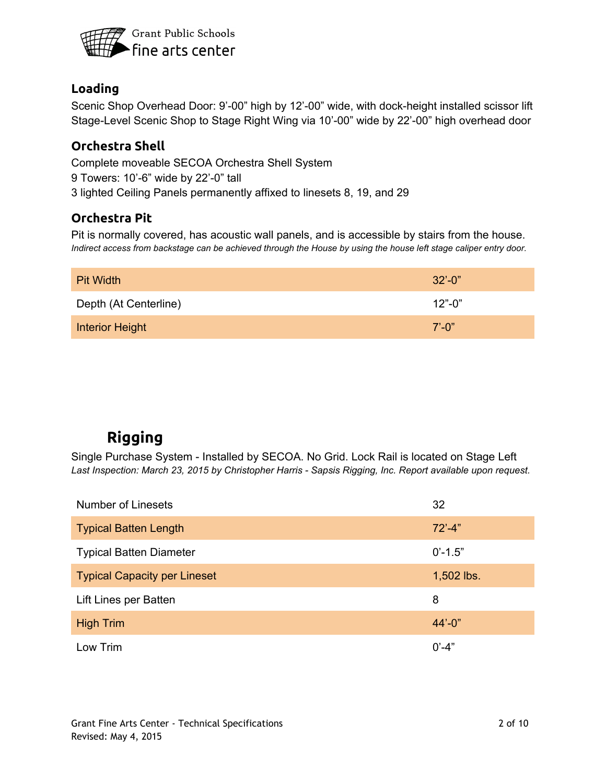

### **Loading**

Scenic Shop Overhead Door: 9'-00" high by 12'-00" wide, with dock-height installed scissor lift Stage-Level Scenic Shop to Stage Right Wing via 10'-00" wide by 22'-00" high overhead door

### **Orchestra Shell**

Complete moveable SECOA Orchestra Shell System 9 Towers: 10'6" wide by 22'0" tall 3 lighted Ceiling Panels permanently affixed to linesets 8, 19, and 29

### **Orchestra Pit**

Pit is normally covered, has acoustic wall panels, and is accessible by stairs from the house. Indirect access from backstage can be achieved through the House by using the house left stage caliper entry door.

| <b>Pit Width</b>       | $32^{\circ} - 0^{\circ}$ |
|------------------------|--------------------------|
| Depth (At Centerline)  | $12" - 0"$               |
| <b>Interior Height</b> | $7'$ -0"                 |

# **Rigging**

Single Purchase System - Installed by SECOA. No Grid. Lock Rail is located on Stage Left *Last Inspection: March 23, 2015 by Christopher Harris Sapsis Rigging, Inc. Report available upon request.*

| <b>Number of Linesets</b>           | 32                 |
|-------------------------------------|--------------------|
| <b>Typical Batten Length</b>        | $72^{\degree}$ -4" |
| <b>Typical Batten Diameter</b>      | $0' - 1.5"$        |
| <b>Typical Capacity per Lineset</b> | 1,502 lbs.         |
| Lift Lines per Batten               | 8                  |
| <b>High Trim</b>                    | $44' - 0''$        |
| Low Trim                            | $0' - 4"$          |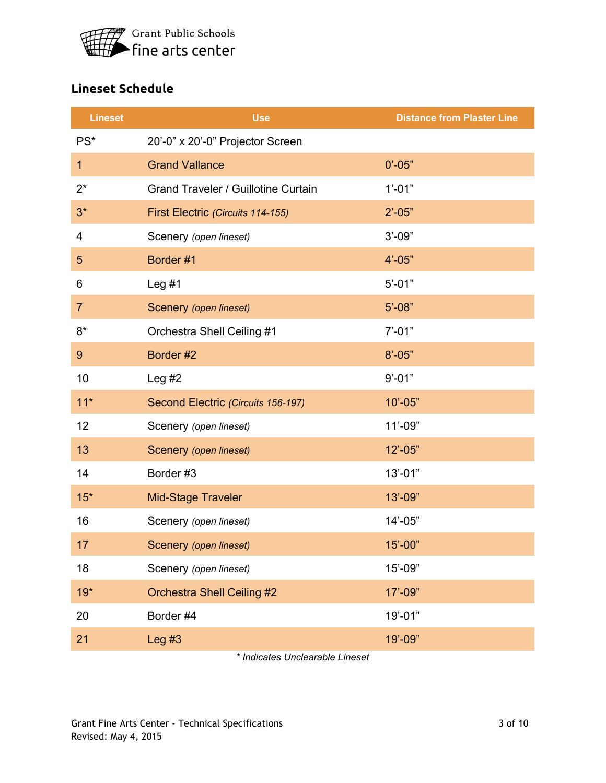

## **Lineset Schedule**

| <b>Lineset</b>  | <b>Use</b>                          | <b>Distance from Plaster Line</b> |
|-----------------|-------------------------------------|-----------------------------------|
| PS <sup>*</sup> | 20'-0" x 20'-0" Projector Screen    |                                   |
| $\mathbf 1$     | <b>Grand Vallance</b>               | $0' - 05"$                        |
| $2^*$           | Grand Traveler / Guillotine Curtain | $1' - 01"$                        |
| $3^*$           | First Electric (Circuits 114-155)   | $2' - 05"$                        |
| 4               | Scenery (open lineset)              | $3' - 09"$                        |
| $\overline{5}$  | Border #1                           | $4' - 05"$                        |
| 6               | Leg $#1$                            | $5' - 01"$                        |
| $\overline{7}$  | Scenery (open lineset)              | $5' - 08"$                        |
| $8*$            | Orchestra Shell Ceiling #1          | $7' - 01"$                        |
| 9               | Border #2                           | $8' - 05"$                        |
| 10              | Leg $#2$                            | $9' - 01"$                        |
| $11*$           | Second Electric (Circuits 156-197)  | $10' - 05"$                       |
| 12              | Scenery (open lineset)              | $11' - 09"$                       |
| 13              | Scenery (open lineset)              | $12' - 05"$                       |
| 14              | Border #3                           | $13' - 01"$                       |
| $15*$           | Mid-Stage Traveler                  | $13' - 09"$                       |
| 16              | Scenery (open lineset)              | $14' - 05"$                       |
| 17              | Scenery (open lineset)              | $15' - 00"$                       |
| 18              | Scenery (open lineset)              | $15' - 09"$                       |
| $19*$           | <b>Orchestra Shell Ceiling #2</b>   | 17'-09"                           |
| 20              | Border #4                           | $19' - 01"$                       |
| 21              | Leg $#3$                            | 19'-09"                           |

*\* Indicates Unclearable Lineset*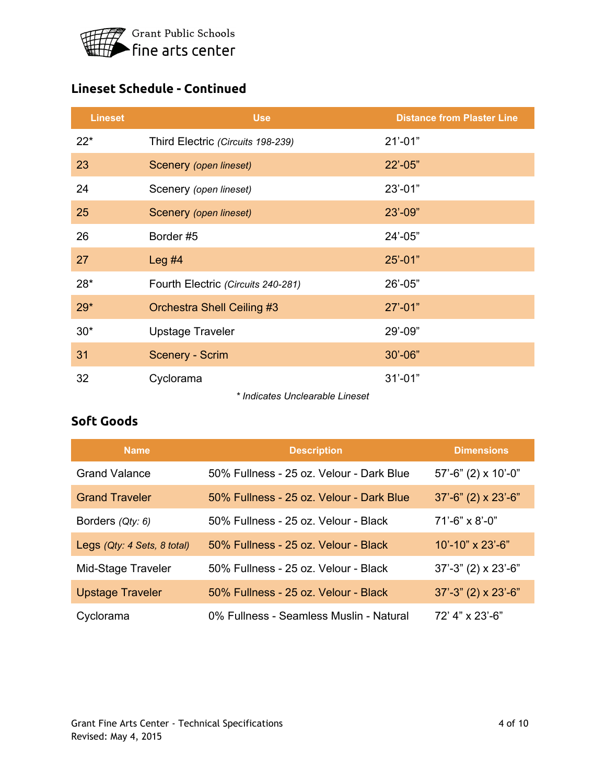

## **Lineset Schedule - Continued**

| <b>Lineset</b> | <b>Use</b>                                   | <b>Distance from Plaster Line</b> |
|----------------|----------------------------------------------|-----------------------------------|
| $22*$          | Third Electric (Circuits 198-239)            | $21' - 01"$                       |
| 23             | Scenery (open lineset)                       | $22' - 05"$                       |
| 24             | Scenery (open lineset)                       | $23' - 01"$                       |
| 25             | Scenery (open lineset)                       | $23' - 09"$                       |
| 26             | Border #5                                    | $24' - 05"$                       |
| 27             | Leg $#4$                                     | $25' - 01"$                       |
| $28*$          | Fourth Electric (Circuits 240-281)           | $26' - 05"$                       |
| $29*$          | Orchestra Shell Ceiling #3                   | $27' - 01"$                       |
| $30*$          | <b>Upstage Traveler</b>                      | 29'-09"                           |
| 31             | <b>Scenery - Scrim</b>                       | $30' - 06"$                       |
| 32             | Cyclorama<br>* Indiactos Unalcorable Lincoct | $31' - 01"$                       |

*\* Indicates Unclearable Lineset*

## **Soft Goods**

| <b>Name</b>                 | <b>Description</b>                       | <b>Dimensions</b>             |
|-----------------------------|------------------------------------------|-------------------------------|
| <b>Grand Valance</b>        | 50% Fullness - 25 oz. Velour - Dark Blue | $57'$ -6" (2) x 10'-0"        |
| <b>Grand Traveler</b>       | 50% Fullness - 25 oz. Velour - Dark Blue | $37'$ -6" (2) x 23'-6"        |
| Borders (Qty: 6)            | 50% Fullness - 25 oz. Velour - Black     | $71'$ -6" x 8'-0"             |
| Legs (Qty: 4 Sets, 8 total) | 50% Fullness - 25 oz. Velour - Black     | $10' - 10'' \times 23' - 6''$ |
| Mid-Stage Traveler          | 50% Fullness - 25 oz. Velour - Black     | $37' - 3''$ (2) x 23'-6"      |
| <b>Upstage Traveler</b>     | 50% Fullness - 25 oz. Velour - Black     | $37' - 3''$ (2) x 23'-6"      |
| Cyclorama                   | 0% Fullness - Seamless Muslin - Natural  | 72' 4" x 23'-6"               |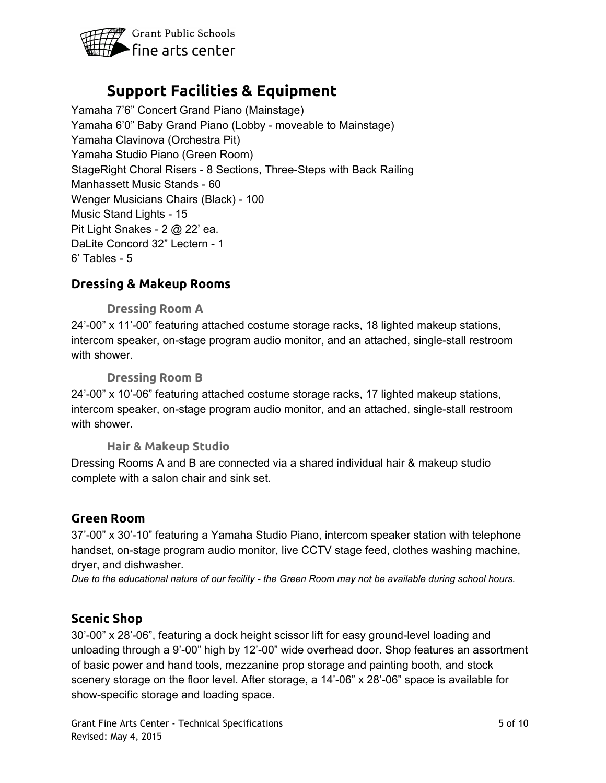

## **Support Facilities & Equipment**

Yamaha 7'6" Concert Grand Piano (Mainstage) Yamaha 6'0" Baby Grand Piano (Lobby - moveable to Mainstage) Yamaha Clavinova (Orchestra Pit) Yamaha Studio Piano (Green Room) StageRight Choral Risers - 8 Sections, Three-Steps with Back Railing Manhassett Music Stands - 60 Wenger Musicians Chairs (Black) - 100 Music Stand Lights - 15 Pit Light Snakes -  $2 \text{ } \textcircled{a}$  22' ea. DaLite Concord 32" Lectern - 1  $6'$  Tables -  $5$ 

### **Dressing & Makeup Rooms**

#### **Dressing Room A**

24'00" x 11'00" featuring attached costume storage racks, 18 lighted makeup stations, intercom speaker, on-stage program audio monitor, and an attached, single-stall restroom with shower.

#### **Dressing Room B**

24'00" x 10'06" featuring attached costume storage racks, 17 lighted makeup stations, intercom speaker, on-stage program audio monitor, and an attached, single-stall restroom with shower.

#### **Hair & Makeup Studio**

Dressing Rooms A and B are connected via a shared individual hair & makeup studio complete with a salon chair and sink set.

#### **Green Room**

37'00" x 30'10" featuring a Yamaha Studio Piano, intercom speaker station with telephone handset, on-stage program audio monitor, live CCTV stage feed, clothes washing machine, dryer, and dishwasher.

Due to the educational nature of our facility - the Green Room may not be available during school hours.

#### **Scenic Shop**

30'-00" x 28'-06", featuring a dock height scissor lift for easy ground-level loading and unloading through a 9'-00" high by 12'-00" wide overhead door. Shop features an assortment of basic power and hand tools, mezzanine prop storage and painting booth, and stock scenery storage on the floor level. After storage, a 14'-06" x 28'-06" space is available for showspecific storage and loading space.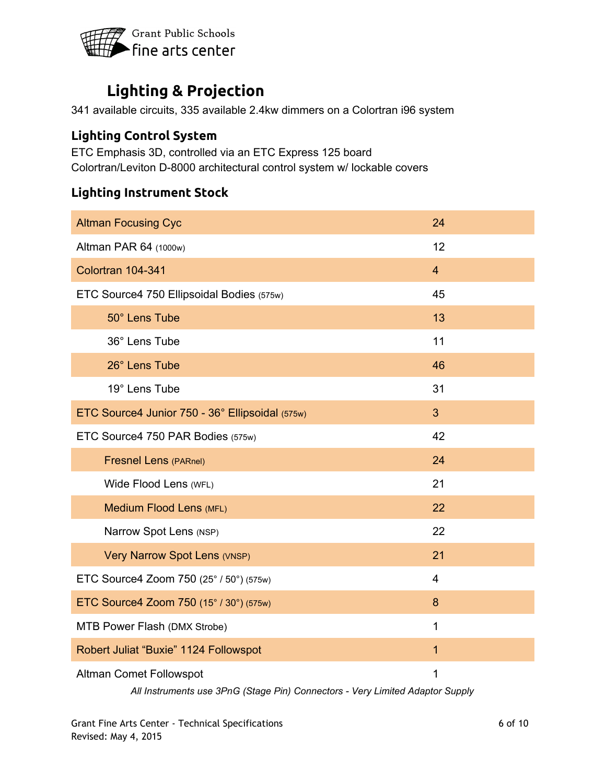

# **Lighting & Projection**

341 available circuits, 335 available 2.4kw dimmers on a Colortran i96 system

### **Lighting Control System**

ETC Emphasis 3D, controlled via an ETC Express 125 board Colortran/Leviton D-8000 architectural control system w/ lockable covers

### **Lighting Instrument Stock**

| <b>Altman Focusing Cyc</b>                      | 24             |
|-------------------------------------------------|----------------|
| Altman PAR 64 (1000w)                           | 12             |
| Colortran 104-341                               | $\overline{4}$ |
| ETC Source4 750 Ellipsoidal Bodies (575w)       | 45             |
| 50° Lens Tube                                   | 13             |
| 36° Lens Tube                                   | 11             |
| 26° Lens Tube                                   | 46             |
| 19° Lens Tube                                   | 31             |
| ETC Source4 Junior 750 - 36° Ellipsoidal (575w) | 3              |
| ETC Source4 750 PAR Bodies (575w)               | 42             |
| <b>Fresnel Lens (PARnel)</b>                    | 24             |
| Wide Flood Lens (WFL)                           | 21             |
| <b>Medium Flood Lens (MFL)</b>                  | 22             |
| Narrow Spot Lens (NSP)                          | 22             |
| Very Narrow Spot Lens (VNSP)                    | 21             |
| ETC Source4 Zoom 750 (25° / 50°) (575w)         | $\overline{4}$ |
| ETC Source4 Zoom 750 (15° / 30°) (575w)         | 8              |
| MTB Power Flash (DMX Strobe)                    | $\mathbf{1}$   |
| Robert Juliat "Buxie" 1124 Followspot           | $\mathbf{1}$   |
| Altman Comet Followspot                         | 1              |

*All Instruments use 3PnG (Stage Pin) Connectors Very Limited Adaptor Supply*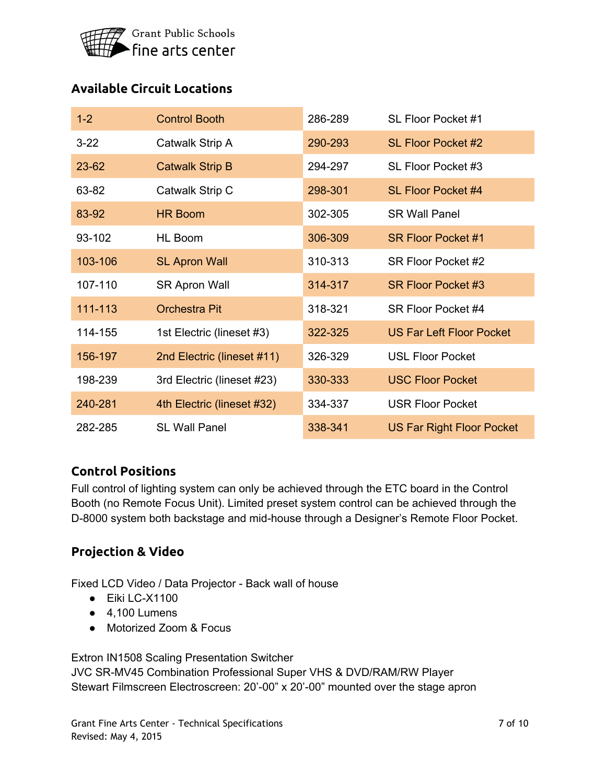

## **Available Circuit Locations**

| $1 - 2$   | <b>Control Booth</b>       | 286-289 | SL Floor Pocket #1               |
|-----------|----------------------------|---------|----------------------------------|
| $3 - 22$  | Catwalk Strip A            | 290-293 | <b>SL Floor Pocket #2</b>        |
| $23 - 62$ | <b>Catwalk Strip B</b>     | 294-297 | SL Floor Pocket #3               |
| 63-82     | Catwalk Strip C            | 298-301 | <b>SL Floor Pocket #4</b>        |
| 83-92     | <b>HR Boom</b>             | 302-305 | <b>SR Wall Panel</b>             |
| 93-102    | HL Boom                    | 306-309 | <b>SR Floor Pocket #1</b>        |
| 103-106   | <b>SL Apron Wall</b>       | 310-313 | SR Floor Pocket #2               |
| 107-110   | <b>SR Apron Wall</b>       | 314-317 | SR Floor Pocket #3               |
| 111-113   | <b>Orchestra Pit</b>       | 318-321 | SR Floor Pocket #4               |
| 114-155   | 1st Electric (lineset #3)  | 322-325 | <b>US Far Left Floor Pocket</b>  |
| 156-197   | 2nd Electric (lineset #11) | 326-329 | <b>USL Floor Pocket</b>          |
| 198-239   | 3rd Electric (lineset #23) | 330-333 | <b>USC Floor Pocket</b>          |
| 240-281   | 4th Electric (lineset #32) | 334-337 | <b>USR Floor Pocket</b>          |
| 282-285   | <b>SL Wall Panel</b>       | 338-341 | <b>US Far Right Floor Pocket</b> |

#### **Control Positions**

Full control of lighting system can only be achieved through the ETC board in the Control Booth (no Remote Focus Unit). Limited preset system control can be achieved through the D-8000 system both backstage and mid-house through a Designer's Remote Floor Pocket.

### **Projection & Video**

Fixed LCD Video / Data Projector - Back wall of house

- $\bullet$  Eiki LC-X1100
- $\bullet$  4.100 Lumens
- Motorized Zoom & Focus

Extron IN1508 Scaling Presentation Switcher

JVC SR-MV45 Combination Professional Super VHS & DVD/RAM/RW Player Stewart Filmscreen Electroscreen: 20'-00" x 20'-00" mounted over the stage apron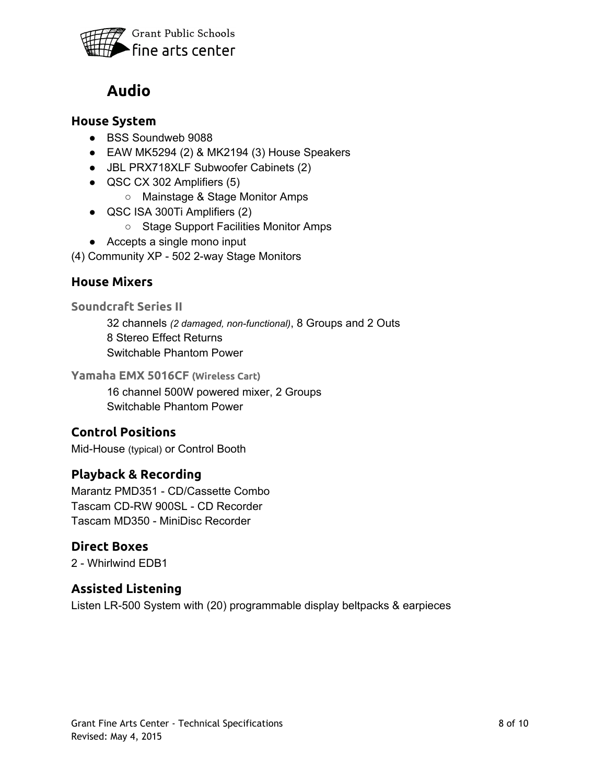

## **Audio**

#### **House System**

- BSS Soundweb 9088
- $\bullet$  EAW MK5294 (2) & MK2194 (3) House Speakers
- JBL PRX718XLF Subwoofer Cabinets (2)
- QSC CX 302 Amplifiers (5)
	- Mainstage & Stage Monitor Amps
- QSC ISA 300Ti Amplifiers (2)
	- Stage Support Facilities Monitor Amps
- Accepts a single mono input
- (4) Community XP 502 2-way Stage Monitors

### **House Mixers**

**Soundcraft Series II**

32 channels *(2 damaged, nonfunctional)*, 8 Groups and 2 Outs 8 Stereo Effect Returns Switchable Phantom Power

**Yamaha EMX 5016CF (Wireless Cart)**

16 channel 500W powered mixer, 2 Groups Switchable Phantom Power

### **Control Positions**

Mid-House (typical) or Control Booth

#### **Playback & Recording**

Marantz PMD351 - CD/Cassette Combo Tascam CD-RW 900SL - CD Recorder Tascam MD350 MiniDisc Recorder

### **Direct Boxes**

2 - Whirlwind EDB1

### **Assisted Listening**

Listen LR-500 System with (20) programmable display beltpacks & earpieces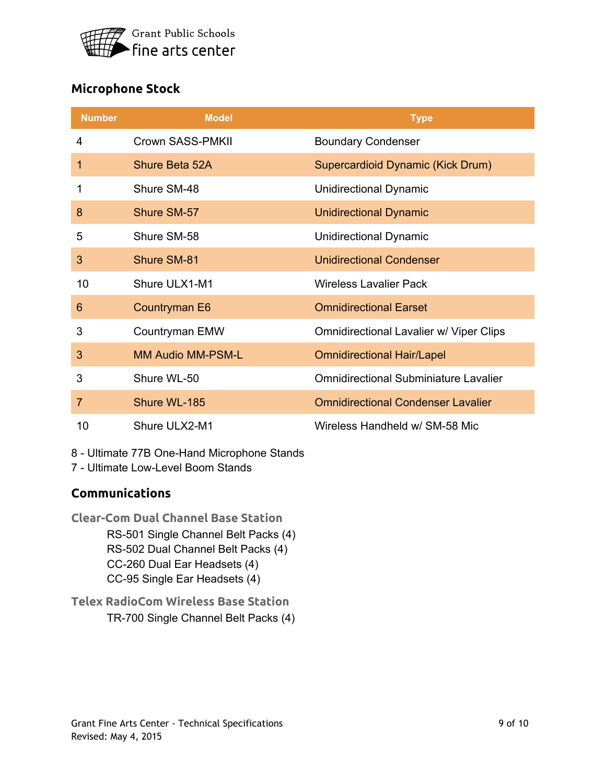

## **Microphone Stock**

| <b>Number</b>  | <b>Model</b>             | <b>Type</b>                                  |
|----------------|--------------------------|----------------------------------------------|
| 4              | Crown SASS-PMKII         | <b>Boundary Condenser</b>                    |
| 1              | Shure Beta 52A           | Supercardioid Dynamic (Kick Drum)            |
| 1              | Shure SM-48              | Unidirectional Dynamic                       |
| 8              | Shure SM-57              | <b>Unidirectional Dynamic</b>                |
| 5              | Shure SM-58              | Unidirectional Dynamic                       |
| 3              | Shure SM-81              | <b>Unidirectional Condenser</b>              |
| 10             | Shure ULX1-M1            | Wireless Lavalier Pack                       |
| 6              | Countryman E6            | <b>Omnidirectional Earset</b>                |
| 3              | Countryman EMW           | Omnidirectional Lavalier w/ Viper Clips      |
| 3              | <b>MM Audio MM-PSM-L</b> | <b>Omnidirectional Hair/Lapel</b>            |
| 3              | Shure WL-50              | <b>Omnidirectional Subminiature Lavalier</b> |
| $\overline{7}$ | Shure WL-185             | <b>Omnidirectional Condenser Lavalier</b>    |
| 10             | Shure ULX2-M1            | Wireless Handheld w/ SM-58 Mic               |

8 - Ultimate 77B One-Hand Microphone Stands

7 - Ultimate Low-Level Boom Stands

### **Communications**

- **Clear-Com Dual Channel Base Station** RS-501 Single Channel Belt Packs (4) RS-502 Dual Channel Belt Packs (4) CC-260 Dual Ear Headsets (4) CC-95 Single Ear Headsets (4)
- **Telex RadioCom Wireless Base Station** TR-700 Single Channel Belt Packs (4)